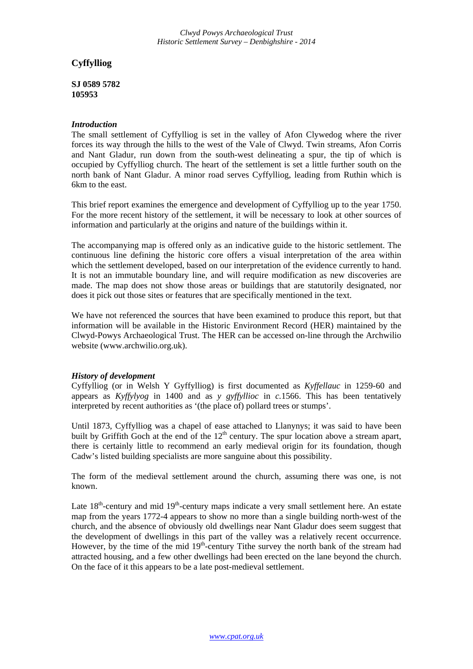*Clwyd Powys Archaeological Trust Historic Settlement Survey – Denbighshire - 2014*

# **Cyffylliog**

**SJ 0589 5782 105953**

## *Introduction*

The small settlement of Cyffylliog is set in the valley of Afon Clywedog where the river forces its way through the hills to the west of the Vale of Clwyd. Twin streams, Afon Corris and Nant Gladur, run down from the south-west delineating a spur, the tip of which is occupied by Cyffylliog church. The heart of the settlement is set a little further south on the north bank of Nant Gladur. A minor road serves Cyffylliog, leading from Ruthin which is 6km to the east.

This brief report examines the emergence and development of Cyffylliog up to the year 1750. For the more recent history of the settlement, it will be necessary to look at other sources of information and particularly at the origins and nature of the buildings within it.

The accompanying map is offered only as an indicative guide to the historic settlement. The continuous line defining the historic core offers a visual interpretation of the area within which the settlement developed, based on our interpretation of the evidence currently to hand. It is not an immutable boundary line, and will require modification as new discoveries are made. The map does not show those areas or buildings that are statutorily designated, nor does it pick out those sites or features that are specifically mentioned in the text.

We have not referenced the sources that have been examined to produce this report, but that information will be available in the Historic Environment Record (HER) maintained by the Clwyd-Powys Archaeological Trust. The HER can be accessed on-line through the Archwilio website (www.archwilio.org.uk).

## *History of development*

Cyffylliog (or in Welsh Y Gyffylliog) is first documented as *Kyffellauc* in 1259-60 and appears as *Kyffylyog* in 1400 and as *y gyffyllioc* in *c.*1566. This has been tentatively interpreted by recent authorities as '(the place of) pollard trees or stumps'.

Until 1873, Cyffylliog was a chapel of ease attached to Llanynys; it was said to have been built by Griffith Goch at the end of the  $12<sup>th</sup>$  century. The spur location above a stream apart, there is certainly little to recommend an early medieval origin for its foundation, though Cadw's listed building specialists are more sanguine about this possibility.

The form of the medieval settlement around the church, assuming there was one, is not known.

Late  $18<sup>th</sup>$ -century and mid  $19<sup>th</sup>$ -century maps indicate a very small settlement here. An estate map from the years 1772-4 appears to show no more than a single building north-west of the church, and the absence of obviously old dwellings near Nant Gladur does seem suggest that the development of dwellings in this part of the valley was a relatively recent occurrence. However, by the time of the mid  $19<sup>th</sup>$ -century Tithe survey the north bank of the stream had attracted housing, and a few other dwellings had been erected on the lane beyond the church. On the face of it this appears to be a late post-medieval settlement.